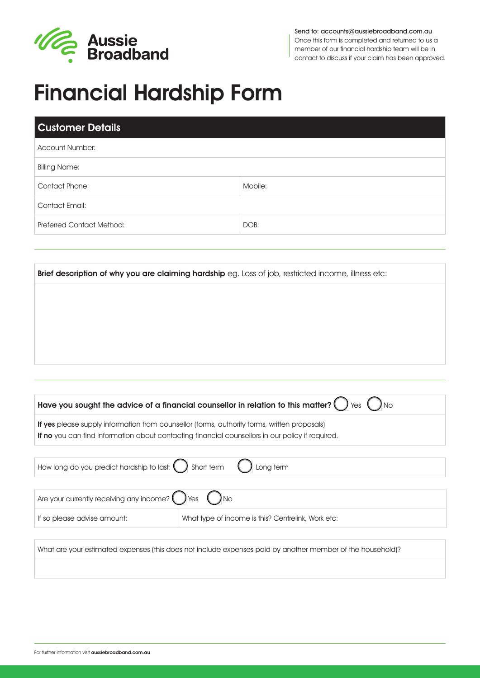

Send to: accounts@aussiebroadband.com.au Once this form is completed and returned to us a member of our financial hardship team will be in contact to discuss if your claim has been approved.

# Financial Hardship Form

| Mobile:        |  |  |
|----------------|--|--|
| Contact Email: |  |  |
| DOB:           |  |  |
|                |  |  |

Brief description of why you are claiming hardship eg. Loss of job, restricted income, illness etc:

| Have you sought the advice of a financial counsellor in relation to this matter? ( ) $\gamma_{\text{es}}$ ( ) $\gamma_{\text{do}}$                                                                      |                                                    |  |
|---------------------------------------------------------------------------------------------------------------------------------------------------------------------------------------------------------|----------------------------------------------------|--|
| <b>If yes</b> please supply information from counsellor (forms, authority forms, written proposals)<br>If no you can find information about contacting financial counsellors in our policy if required. |                                                    |  |
| How long do you predict hardship to last: $\bigcirc$ Short term $\bigcirc$ Long term                                                                                                                    |                                                    |  |
| Are your currently receiving any income? $\bigcap$ Yes $\bigcap$ No                                                                                                                                     |                                                    |  |
| If so please advise amount:                                                                                                                                                                             | What type of income is this? Centrelink, Work etc: |  |

What are your estimated expenses (this does not include expenses paid by another member of the household)?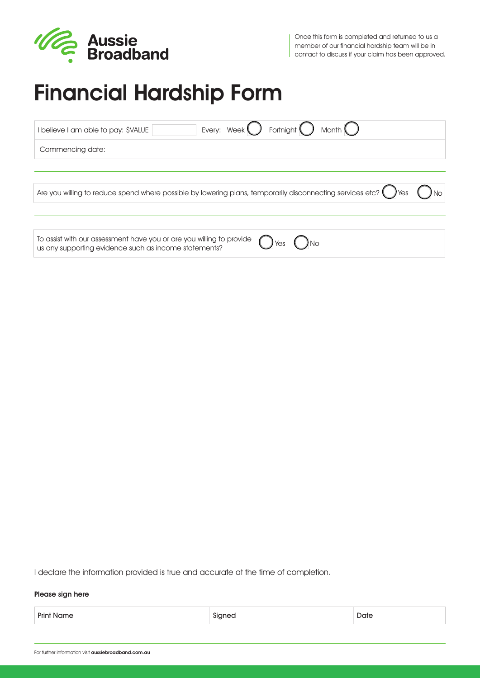

# Financial Hardship Form

| Fortnight $\left($<br>Month $\bigcup$<br>Every: Week $\bigcup$<br>I believe I am able to pay: \$VALUE                                |
|--------------------------------------------------------------------------------------------------------------------------------------|
| Commencing date:                                                                                                                     |
|                                                                                                                                      |
| Are you willing to reduce spend where possible by lowering plans, temporarily disconnecting services etc? $($ $)$ Yes                |
|                                                                                                                                      |
| To assist with our assessment have you or are you willing to provide<br>Yes<br>us any supporting evidence such as income statements? |

I declare the information provided is true and accurate at the time of completion.

#### Please sign here

Print Name **Signed** Date **Signed** Date **Date Date Date Only 2**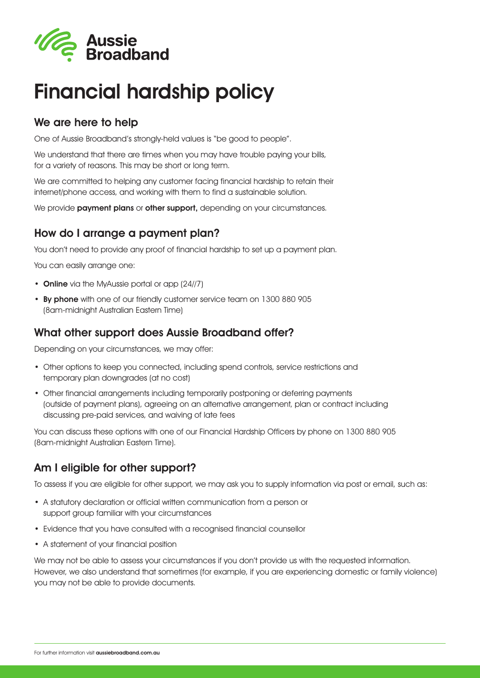

# Financial hardship policy

### We are here to help

One of Aussie Broadband's strongly-held values is "be good to people".

We understand that there are times when you may have trouble paying your bills, for a variety of reasons. This may be short or long term.

We are committed to helping any customer facing financial hardship to retain their internet/phone access, and working with them to find a sustainable solution.

We provide **payment plans** or **other support**, depending on your circumstances.

### How do I arrange a payment plan?

You don't need to provide any proof of financial hardship to set up a payment plan.

You can easily arrange one:

- Online via the MyAussie portal or app (24//7)
- By phone with one of our friendly customer service team on 1300 880 905 (8am-midnight Australian Eastern Time)

#### What other support does Aussie Broadband offer?

Depending on your circumstances, we may offer:

- Other options to keep you connected, including spend controls, service restrictions and temporary plan downgrades (at no cost)
- Other financial arrangements including temporarily postponing or deferring payments (outside of payment plans), agreeing on an alternative arrangement, plan or contract including discussing pre-paid services, and waiving of late fees

You can discuss these options with one of our Financial Hardship Officers by phone on 1300 880 905 (8am-midnight Australian Eastern Time).

### Am I eligible for other support?

To assess if you are eligible for other support, we may ask you to supply information via post or email, such as:

- A statutory declaration or official written communication from a person or support group familiar with your circumstances
- Evidence that you have consulted with a recognised financial counsellor
- A statement of your financial position

We may not be able to assess your circumstances if you don't provide us with the requested information. However, we also understand that sometimes (for example, if you are experiencing domestic or family violence) you may not be able to provide documents.